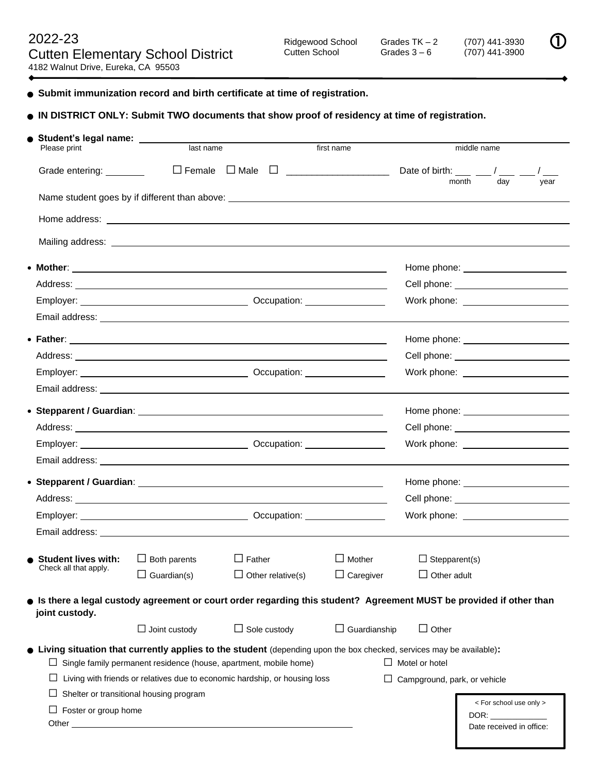$(707)$  441-3900

**Submit immunization record and birth certificate at time of registration.**

## **IN DISTRICT ONLY: Submit TWO documents that show proof of residency at time of registration.**

| Student's legal name: ________<br>Please print                                                                                                                                                                                      | last name                                                                        |                     | first name |                     |                                                                                                                                                                                                                                      | middle name |                                                                                                                                                                                                                                                           |      |
|-------------------------------------------------------------------------------------------------------------------------------------------------------------------------------------------------------------------------------------|----------------------------------------------------------------------------------|---------------------|------------|---------------------|--------------------------------------------------------------------------------------------------------------------------------------------------------------------------------------------------------------------------------------|-------------|-----------------------------------------------------------------------------------------------------------------------------------------------------------------------------------------------------------------------------------------------------------|------|
| Grade entering: ________                                                                                                                                                                                                            | $\Box$ Female $\Box$ Male                                                        |                     |            |                     | Date of birth: $\frac{\phantom{0}}{\phantom{0}}$ $\phantom{0}$ / $\phantom{0}$                                                                                                                                                       |             |                                                                                                                                                                                                                                                           |      |
|                                                                                                                                                                                                                                     |                                                                                  |                     |            |                     |                                                                                                                                                                                                                                      | month       | day                                                                                                                                                                                                                                                       | year |
|                                                                                                                                                                                                                                     | Name student goes by if different than above: __________________________________ |                     |            |                     |                                                                                                                                                                                                                                      |             |                                                                                                                                                                                                                                                           |      |
|                                                                                                                                                                                                                                     |                                                                                  |                     |            |                     |                                                                                                                                                                                                                                      |             |                                                                                                                                                                                                                                                           |      |
|                                                                                                                                                                                                                                     |                                                                                  |                     |            |                     |                                                                                                                                                                                                                                      |             |                                                                                                                                                                                                                                                           |      |
|                                                                                                                                                                                                                                     |                                                                                  |                     |            |                     |                                                                                                                                                                                                                                      |             |                                                                                                                                                                                                                                                           |      |
|                                                                                                                                                                                                                                     |                                                                                  |                     |            |                     |                                                                                                                                                                                                                                      |             |                                                                                                                                                                                                                                                           |      |
|                                                                                                                                                                                                                                     |                                                                                  |                     |            |                     |                                                                                                                                                                                                                                      |             |                                                                                                                                                                                                                                                           |      |
| Email address: <u>experience</u> and a series of the series of the series of the series of the series of the series of the series of the series of the series of the series of the series of the series of the series of the series |                                                                                  |                     |            |                     |                                                                                                                                                                                                                                      |             |                                                                                                                                                                                                                                                           |      |
|                                                                                                                                                                                                                                     |                                                                                  |                     |            |                     |                                                                                                                                                                                                                                      |             |                                                                                                                                                                                                                                                           |      |
|                                                                                                                                                                                                                                     |                                                                                  |                     |            |                     |                                                                                                                                                                                                                                      |             |                                                                                                                                                                                                                                                           |      |
|                                                                                                                                                                                                                                     |                                                                                  |                     |            |                     |                                                                                                                                                                                                                                      |             |                                                                                                                                                                                                                                                           |      |
|                                                                                                                                                                                                                                     |                                                                                  |                     |            |                     |                                                                                                                                                                                                                                      |             |                                                                                                                                                                                                                                                           |      |
|                                                                                                                                                                                                                                     |                                                                                  |                     |            |                     |                                                                                                                                                                                                                                      |             |                                                                                                                                                                                                                                                           |      |
|                                                                                                                                                                                                                                     |                                                                                  |                     |            |                     |                                                                                                                                                                                                                                      |             |                                                                                                                                                                                                                                                           |      |
|                                                                                                                                                                                                                                     |                                                                                  |                     |            |                     | Work phone: <u>contract the manufacture</u>                                                                                                                                                                                          |             |                                                                                                                                                                                                                                                           |      |
|                                                                                                                                                                                                                                     |                                                                                  |                     |            |                     |                                                                                                                                                                                                                                      |             |                                                                                                                                                                                                                                                           |      |
|                                                                                                                                                                                                                                     |                                                                                  |                     |            |                     |                                                                                                                                                                                                                                      |             |                                                                                                                                                                                                                                                           |      |
|                                                                                                                                                                                                                                     |                                                                                  |                     |            |                     | Cell phone: <u>contract and contract and contract and contract and contract and contract and contract and contract and contract and contract and contract and contract and contract and contract and contract and contract and c</u> |             |                                                                                                                                                                                                                                                           |      |
| Employer: Company Control Company Control Company Control Company Control Company Control Company Company Company Company Company Company Company Company Company Company Company Company Company Company Company Company Comp      |                                                                                  |                     |            |                     |                                                                                                                                                                                                                                      |             |                                                                                                                                                                                                                                                           |      |
|                                                                                                                                                                                                                                     |                                                                                  |                     |            |                     |                                                                                                                                                                                                                                      |             |                                                                                                                                                                                                                                                           |      |
|                                                                                                                                                                                                                                     |                                                                                  |                     |            |                     |                                                                                                                                                                                                                                      |             |                                                                                                                                                                                                                                                           |      |
| <b>Student lives with:</b><br>Check all that apply.                                                                                                                                                                                 | $\Box$ Both parents                                                              | $\Box$ Father       |            | $\Box$ Mother       | $\Box$ Stepparent(s)                                                                                                                                                                                                                 |             |                                                                                                                                                                                                                                                           |      |
|                                                                                                                                                                                                                                     | Guardian(s)                                                                      | Other relative(s)   |            | $\Box$ Caregiver    | Other adult                                                                                                                                                                                                                          |             |                                                                                                                                                                                                                                                           |      |
| Sim there a legal custody agreement or court order regarding this student? Agreement MUST be provided if other than<br>joint custody.                                                                                               |                                                                                  |                     |            |                     |                                                                                                                                                                                                                                      |             |                                                                                                                                                                                                                                                           |      |
|                                                                                                                                                                                                                                     | $\Box$ Joint custody                                                             | $\Box$ Sole custody |            | $\Box$ Guardianship | $\Box$ Other                                                                                                                                                                                                                         |             |                                                                                                                                                                                                                                                           |      |
| • Living situation that currently applies to the student (depending upon the box checked, services may be available):                                                                                                               | Single family permanent residence (house, apartment, mobile home)                |                     |            |                     | $\Box$ Motel or hotel                                                                                                                                                                                                                |             |                                                                                                                                                                                                                                                           |      |
|                                                                                                                                                                                                                                     | Living with friends or relatives due to economic hardship, or housing loss       |                     |            |                     | $\Box$ Campground, park, or vehicle                                                                                                                                                                                                  |             |                                                                                                                                                                                                                                                           |      |
|                                                                                                                                                                                                                                     | Shelter or transitional housing program                                          |                     |            |                     |                                                                                                                                                                                                                                      |             |                                                                                                                                                                                                                                                           |      |
| Foster or group home<br>Other_                                                                                                                                                                                                      |                                                                                  |                     |            |                     |                                                                                                                                                                                                                                      |             | < For school use only ><br>DOR: the contract of the contract of the contract of the contract of the contract of the contract of the contract of the contract of the contract of the contract of the contract of the contract of the contract of the contr |      |
|                                                                                                                                                                                                                                     |                                                                                  |                     |            |                     |                                                                                                                                                                                                                                      |             | Date received in office:                                                                                                                                                                                                                                  |      |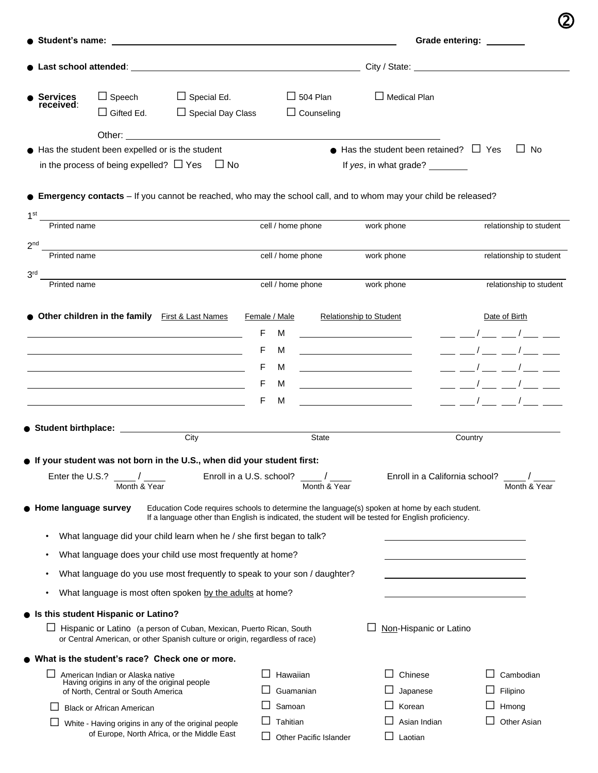|                                 |                                                                                    |                                                                                                                                                                                                                                      |                   |                   |                                                                                                                   | Grade entering: _______                                                                                                                   |
|---------------------------------|------------------------------------------------------------------------------------|--------------------------------------------------------------------------------------------------------------------------------------------------------------------------------------------------------------------------------------|-------------------|-------------------|-------------------------------------------------------------------------------------------------------------------|-------------------------------------------------------------------------------------------------------------------------------------------|
|                                 |                                                                                    |                                                                                                                                                                                                                                      |                   |                   |                                                                                                                   | City / State: No. 1996. The City of State:                                                                                                |
|                                 |                                                                                    |                                                                                                                                                                                                                                      |                   |                   |                                                                                                                   |                                                                                                                                           |
| <b>Services</b><br>received:    | $\Box$ Speech                                                                      | $\Box$ Special Ed.<br>$\Box$ Special Day Class                                                                                                                                                                                       |                   | $\Box$ 504 Plan   | $\Box$ Medical Plan                                                                                               |                                                                                                                                           |
|                                 | $\Box$ Gifted Ed.                                                                  |                                                                                                                                                                                                                                      |                   | $\Box$ Counseling |                                                                                                                   |                                                                                                                                           |
|                                 |                                                                                    | Other: <u>with the contract of the contract of the contract of the contract of the contract of the contract of the contract of the contract of the contract of the contract of the contract of the contract of the contract of t</u> |                   |                   | $\bullet$ Has the student been retained? $\Box$ Yes                                                               | $\Box$ No                                                                                                                                 |
|                                 | Has the student been expelled or is the student                                    | in the process of being expelled? $\Box$ Yes $\Box$ No                                                                                                                                                                               |                   |                   | If yes, in what grade?                                                                                            |                                                                                                                                           |
|                                 |                                                                                    |                                                                                                                                                                                                                                      |                   |                   |                                                                                                                   |                                                                                                                                           |
|                                 |                                                                                    |                                                                                                                                                                                                                                      |                   |                   | • Emergency contacts - If you cannot be reached, who may the school call, and to whom may your child be released? |                                                                                                                                           |
| 1 <sup>st</sup>                 |                                                                                    |                                                                                                                                                                                                                                      |                   |                   |                                                                                                                   |                                                                                                                                           |
| Printed name                    |                                                                                    |                                                                                                                                                                                                                                      | cell / home phone |                   | work phone                                                                                                        | relationship to student                                                                                                                   |
| 2 <sub>nd</sub><br>Printed name |                                                                                    |                                                                                                                                                                                                                                      | cell / home phone |                   | work phone                                                                                                        | relationship to student                                                                                                                   |
|                                 |                                                                                    |                                                                                                                                                                                                                                      |                   |                   |                                                                                                                   |                                                                                                                                           |
| 3 <sup>rd</sup><br>Printed name |                                                                                    |                                                                                                                                                                                                                                      | cell / home phone |                   | work phone                                                                                                        | relationship to student                                                                                                                   |
|                                 |                                                                                    |                                                                                                                                                                                                                                      |                   |                   |                                                                                                                   |                                                                                                                                           |
|                                 | Other children in the family First & Last Names                                    |                                                                                                                                                                                                                                      | Female / Male     |                   | <b>Relationship to Student</b>                                                                                    | Date of Birth                                                                                                                             |
|                                 |                                                                                    |                                                                                                                                                                                                                                      | F<br>м            |                   |                                                                                                                   | __ __ / __ _ _ / __ __                                                                                                                    |
|                                 |                                                                                    |                                                                                                                                                                                                                                      | F<br>м            |                   |                                                                                                                   | $\frac{\mu}{\mu}$ , $\frac{\mu}{\mu}$ , $\frac{\mu}{\mu}$ , $\frac{\mu}{\mu}$ , $\frac{\mu}{\mu}$ , $\frac{\mu}{\mu}$ , $\frac{\mu}{\mu}$ |
|                                 |                                                                                    |                                                                                                                                                                                                                                      | F<br>м            |                   |                                                                                                                   |                                                                                                                                           |
|                                 |                                                                                    |                                                                                                                                                                                                                                      | F<br>м            |                   |                                                                                                                   |                                                                                                                                           |
|                                 |                                                                                    |                                                                                                                                                                                                                                      | F<br>M            |                   |                                                                                                                   |                                                                                                                                           |
|                                 |                                                                                    |                                                                                                                                                                                                                                      |                   |                   |                                                                                                                   |                                                                                                                                           |
| Student birthplace:             |                                                                                    | City                                                                                                                                                                                                                                 |                   | State             |                                                                                                                   | Country                                                                                                                                   |
|                                 |                                                                                    | • If your student was not born in the U.S., when did your student first:                                                                                                                                                             |                   |                   |                                                                                                                   |                                                                                                                                           |
|                                 |                                                                                    | Enroll in a U.S. school? $\frac{1}{2}$ /                                                                                                                                                                                             |                   |                   | Enroll in a California school?                                                                                    |                                                                                                                                           |
|                                 | Month & Year                                                                       |                                                                                                                                                                                                                                      |                   | Month & Year      |                                                                                                                   | Month & Year                                                                                                                              |
| Home language survey            |                                                                                    |                                                                                                                                                                                                                                      |                   |                   | Education Code requires schools to determine the language(s) spoken at home by each student.                      |                                                                                                                                           |
|                                 |                                                                                    |                                                                                                                                                                                                                                      |                   |                   | If a language other than English is indicated, the student will be tested for English proficiency.                |                                                                                                                                           |
| $\bullet$                       |                                                                                    | What language did your child learn when he / she first began to talk?                                                                                                                                                                |                   |                   |                                                                                                                   |                                                                                                                                           |
| $\bullet$                       |                                                                                    | What language does your child use most frequently at home?                                                                                                                                                                           |                   |                   |                                                                                                                   |                                                                                                                                           |
| $\bullet$                       |                                                                                    | What language do you use most frequently to speak to your son / daughter?                                                                                                                                                            |                   |                   |                                                                                                                   |                                                                                                                                           |
| $\bullet$                       |                                                                                    | What language is most often spoken by the adults at home?                                                                                                                                                                            |                   |                   |                                                                                                                   |                                                                                                                                           |
|                                 | • Is this student Hispanic or Latino?                                              |                                                                                                                                                                                                                                      |                   |                   |                                                                                                                   |                                                                                                                                           |
|                                 |                                                                                    | □ Hispanic or Latino (a person of Cuban, Mexican, Puerto Rican, South<br>or Central American, or other Spanish culture or origin, regardless of race)                                                                                |                   |                   | Non-Hispanic or Latino                                                                                            |                                                                                                                                           |
|                                 |                                                                                    |                                                                                                                                                                                                                                      |                   |                   |                                                                                                                   |                                                                                                                                           |
|                                 |                                                                                    |                                                                                                                                                                                                                                      |                   |                   |                                                                                                                   |                                                                                                                                           |
| ⊔                               | American Indian or Alaska native                                                   | • What is the student's race? Check one or more.                                                                                                                                                                                     |                   | Hawaiian          | Chinese                                                                                                           | Cambodian                                                                                                                                 |
|                                 | Having origins in any of the original people<br>of North, Central or South America |                                                                                                                                                                                                                                      |                   | Guamanian         | Japanese                                                                                                          | Filipino                                                                                                                                  |

| $\Box$ White - Having origins in any of the original people |
|-------------------------------------------------------------|
| of Europe, North Africa, or the Middle East                 |

☐ Other Pacific Islander ☐ Laotian

☐ Tahitian ☐ Asian Indian ☐ Other Asian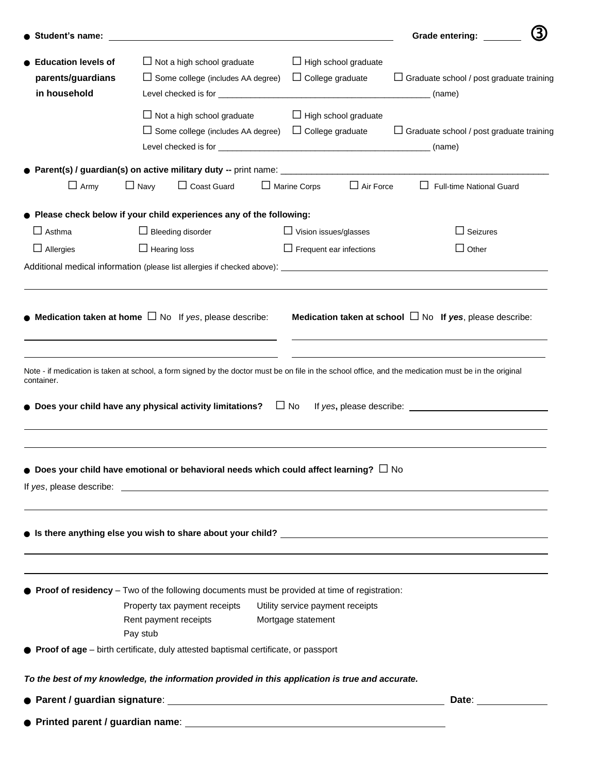| Student's name:            |                                                                                                                                                       |                                  | 3)<br><b>Grade entering:</b>                                  |  |  |  |
|----------------------------|-------------------------------------------------------------------------------------------------------------------------------------------------------|----------------------------------|---------------------------------------------------------------|--|--|--|
| <b>Education levels of</b> | $\Box$ Not a high school graduate                                                                                                                     | $\Box$ High school graduate      |                                                               |  |  |  |
| parents/guardians          | $\Box$ Some college (includes AA degree)                                                                                                              | $\Box$ College graduate          | $\Box$ Graduate school / post graduate training               |  |  |  |
| in household               |                                                                                                                                                       |                                  | (name)                                                        |  |  |  |
|                            | $\Box$ Not a high school graduate                                                                                                                     | $\Box$ High school graduate      |                                                               |  |  |  |
|                            | $\Box$ Some college (includes AA degree)                                                                                                              | $\Box$ College graduate          | $\Box$ Graduate school / post graduate training               |  |  |  |
|                            |                                                                                                                                                       |                                  | (name)                                                        |  |  |  |
|                            |                                                                                                                                                       |                                  |                                                               |  |  |  |
| $\Box$ Army                | $\Box$ Coast Guard<br>$\Box$ Navy                                                                                                                     | $\Box$ Air Force<br>Marine Corps | Full-time National Guard                                      |  |  |  |
|                            | Please check below if your child experiences any of the following:                                                                                    |                                  |                                                               |  |  |  |
| $\Box$ Asthma              | $\Box$ Bleeding disorder                                                                                                                              | $\Box$ Vision issues/glasses     | Seizures                                                      |  |  |  |
| $\Box$ Allergies           | $\Box$ Hearing loss                                                                                                                                   | $\Box$ Frequent ear infections   | $\Box$ Other                                                  |  |  |  |
|                            |                                                                                                                                                       |                                  |                                                               |  |  |  |
|                            |                                                                                                                                                       |                                  |                                                               |  |  |  |
|                            | <b>Medication taken at home</b> $\Box$ No If yes, please describe:                                                                                    |                                  | Medication taken at school $\Box$ No If yes, please describe: |  |  |  |
|                            |                                                                                                                                                       |                                  |                                                               |  |  |  |
| container.                 | Note - if medication is taken at school, a form signed by the doctor must be on file in the school office, and the medication must be in the original |                                  |                                                               |  |  |  |
|                            | Does your child have any physical activity limitations?                                                                                               | $\Box$ No                        |                                                               |  |  |  |
|                            | Does your child have emotional or behavioral needs which could affect learning? $\Box$ No                                                             |                                  |                                                               |  |  |  |
|                            |                                                                                                                                                       |                                  |                                                               |  |  |  |
|                            |                                                                                                                                                       |                                  |                                                               |  |  |  |
|                            |                                                                                                                                                       |                                  |                                                               |  |  |  |
|                            | <b>Proof of residency</b> $-$ Two of the following documents must be provided at time of registration:                                                |                                  |                                                               |  |  |  |
|                            | Property tax payment receipts                                                                                                                         | Utility service payment receipts |                                                               |  |  |  |
|                            | Rent payment receipts                                                                                                                                 | Mortgage statement               |                                                               |  |  |  |
|                            | Pay stub<br>● Proof of age – birth certificate, duly attested baptismal certificate, or passport                                                      |                                  |                                                               |  |  |  |
|                            | To the best of my knowledge, the information provided in this application is true and accurate.                                                       |                                  |                                                               |  |  |  |
|                            |                                                                                                                                                       |                                  |                                                               |  |  |  |
|                            | $\bullet$ Printed parent / guardian name: $\qquad \qquad$                                                                                             |                                  |                                                               |  |  |  |
|                            |                                                                                                                                                       |                                  |                                                               |  |  |  |